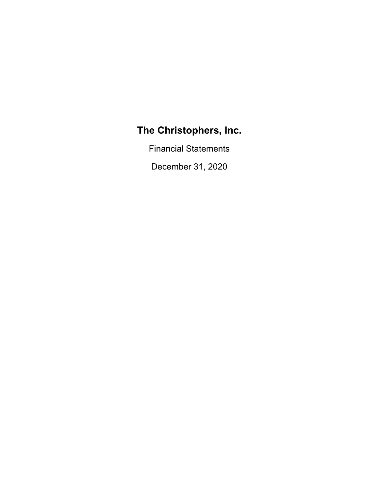Financial Statements

December 31, 2020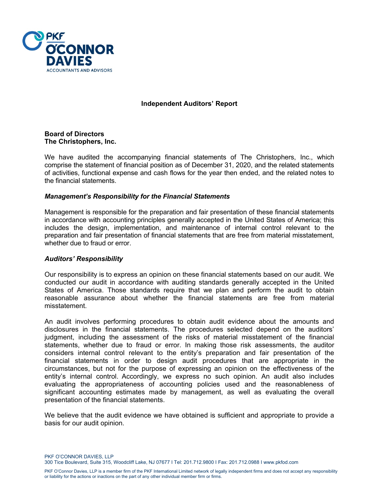

# **Independent Auditors' Report**

#### **Board of Directors The Christophers, Inc.**

We have audited the accompanying financial statements of The Christophers, Inc., which comprise the statement of financial position as of December 31, 2020, and the related statements of activities, functional expense and cash flows for the year then ended, and the related notes to the financial statements.

# *Management's Responsibility for the Financial Statements*

Management is responsible for the preparation and fair presentation of these financial statements in accordance with accounting principles generally accepted in the United States of America; this includes the design, implementation, and maintenance of internal control relevant to the preparation and fair presentation of financial statements that are free from material misstatement, whether due to fraud or error.

#### *Auditors' Responsibility*

Our responsibility is to express an opinion on these financial statements based on our audit. We conducted our audit in accordance with auditing standards generally accepted in the United States of America. Those standards require that we plan and perform the audit to obtain reasonable assurance about whether the financial statements are free from material misstatement.

An audit involves performing procedures to obtain audit evidence about the amounts and disclosures in the financial statements. The procedures selected depend on the auditors' judgment, including the assessment of the risks of material misstatement of the financial statements, whether due to fraud or error. In making those risk assessments, the auditor considers internal control relevant to the entity's preparation and fair presentation of the financial statements in order to design audit procedures that are appropriate in the circumstances, but not for the purpose of expressing an opinion on the effectiveness of the entity's internal control. Accordingly, we express no such opinion. An audit also includes evaluating the appropriateness of accounting policies used and the reasonableness of significant accounting estimates made by management, as well as evaluating the overall presentation of the financial statements.

We believe that the audit evidence we have obtained is sufficient and appropriate to provide a basis for our audit opinion.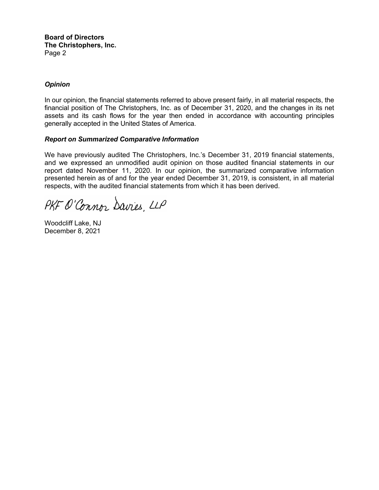**Board of Directors The Christophers, Inc.**  Page 2

# *Opinion*

In our opinion, the financial statements referred to above present fairly, in all material respects, the financial position of The Christophers, Inc. as of December 31, 2020, and the changes in its net assets and its cash flows for the year then ended in accordance with accounting principles generally accepted in the United States of America.

#### *Report on Summarized Comparative Information*

We have previously audited The Christophers, Inc.'s December 31, 2019 financial statements, and we expressed an unmodified audit opinion on those audited financial statements in our report dated November 11, 2020. In our opinion, the summarized comparative information presented herein as of and for the year ended December 31, 2019, is consistent, in all material respects, with the audited financial statements from which it has been derived.

PKF O'Connor Davies, LLP

Woodcliff Lake, NJ December 8, 2021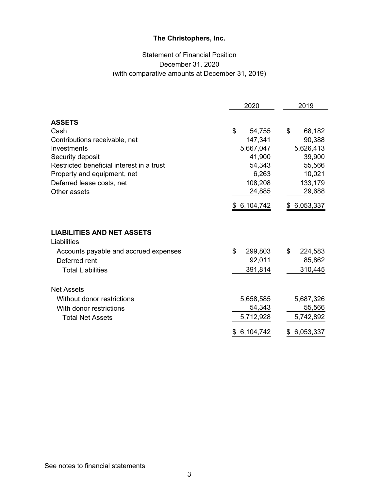# Statement of Financial Position December 31, 2020 (with comparative amounts at December 31, 2019)

|                                                                                                            | 2020                             | 2019                             |  |
|------------------------------------------------------------------------------------------------------------|----------------------------------|----------------------------------|--|
| <b>ASSETS</b>                                                                                              |                                  |                                  |  |
| Cash                                                                                                       | \$<br>54,755                     | \$<br>68,182                     |  |
| Contributions receivable, net                                                                              | 147,341                          | 90,388                           |  |
| Investments                                                                                                | 5,667,047                        | 5,626,413                        |  |
| Security deposit                                                                                           | 41,900                           | 39,900                           |  |
| Restricted beneficial interest in a trust                                                                  | 54,343                           | 55,566                           |  |
| Property and equipment, net                                                                                | 6,263                            | 10,021                           |  |
| Deferred lease costs, net                                                                                  | 108,208                          | 133,179                          |  |
| Other assets                                                                                               | 24,885                           | 29,688                           |  |
|                                                                                                            | \$6,104,742                      | 6,053,337<br>SS.                 |  |
| <b>LIABILITIES AND NET ASSETS</b><br>Liabilities<br>Accounts payable and accrued expenses<br>Deferred rent | \$<br>299,803<br>92,011          | \$<br>224,583<br>85,862          |  |
| <b>Total Liabilities</b>                                                                                   | 391,814                          | 310,445                          |  |
| <b>Net Assets</b>                                                                                          |                                  |                                  |  |
| Without donor restrictions<br>With donor restrictions<br><b>Total Net Assets</b>                           | 5,658,585<br>54,343<br>5,712,928 | 5,687,326<br>55,566<br>5,742,892 |  |
|                                                                                                            | 6,104,742<br>\$                  | 6,053,337<br>\$                  |  |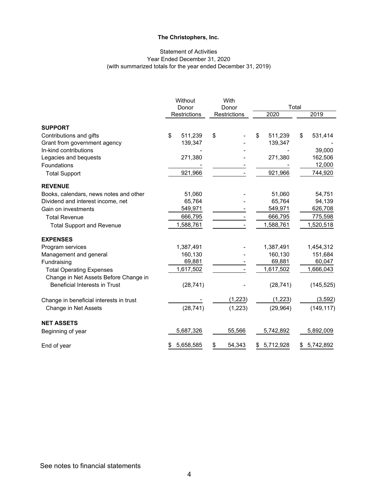### Statement of Activities Year Ended December 31, 2020 (with summarized totals for the year ended December 31, 2019)

|                                         | Without<br>Donor |                     | With<br>Donor |              | Total |           |    |            |
|-----------------------------------------|------------------|---------------------|---------------|--------------|-------|-----------|----|------------|
|                                         |                  | <b>Restrictions</b> |               | Restrictions |       | 2020      |    | 2019       |
| <b>SUPPORT</b>                          |                  |                     |               |              |       |           |    |            |
| Contributions and gifts                 | \$               | 511,239             | \$            |              | \$    | 511,239   | \$ | 531,414    |
| Grant from government agency            |                  | 139,347             |               |              |       | 139,347   |    |            |
| In-kind contributions                   |                  |                     |               |              |       |           |    | 39,000     |
| Legacies and bequests                   |                  | 271,380             |               |              |       | 271,380   |    | 162,506    |
| Foundations                             |                  |                     |               |              |       |           |    | 12,000     |
| <b>Total Support</b>                    |                  | 921,966             |               |              |       | 921,966   |    | 744,920    |
| <b>REVENUE</b>                          |                  |                     |               |              |       |           |    |            |
| Books, calendars, news notes and other  |                  | 51,060              |               |              |       | 51,060    |    | 54,751     |
| Dividend and interest income, net       |                  | 65,764              |               |              |       | 65,764    |    | 94,139     |
| Gain on investments                     |                  | 549,971             |               |              |       | 549,971   |    | 626,708    |
| <b>Total Revenue</b>                    |                  | 666,795             |               |              |       | 666,795   |    | 775,598    |
| <b>Total Support and Revenue</b>        |                  | 1,588,761           |               |              |       | 1,588,761 |    | 1,520,518  |
| <b>EXPENSES</b>                         |                  |                     |               |              |       |           |    |            |
| Program services                        |                  | 1,387,491           |               |              |       | 1,387,491 |    | 1,454,312  |
| Management and general                  |                  | 160,130             |               |              |       | 160,130   |    | 151,684    |
| Fundraising                             |                  | 69,881              |               |              |       | 69,881    |    | 60,047     |
| <b>Total Operating Expenses</b>         |                  | 1,617,502           |               |              |       | 1,617,502 |    | 1,666,043  |
| Change in Net Assets Before Change in   |                  |                     |               |              |       |           |    |            |
| <b>Beneficial Interests in Trust</b>    |                  | (28, 741)           |               |              |       | (28, 741) |    | (145, 525) |
| Change in beneficial interests in trust |                  |                     |               | (1,223)      |       | (1, 223)  |    | (3, 592)   |
| Change in Net Assets                    |                  | (28, 741)           |               | (1, 223)     |       | (29, 964) |    | (149, 117) |
| <b>NET ASSETS</b>                       |                  |                     |               |              |       |           |    |            |
| Beginning of year                       |                  | 5,687,326           |               | 55,566       |       | 5,742,892 |    | 5,892,009  |
| End of year                             |                  | 5,658,585           | \$            | 54,343       | \$    | 5,712,928 | \$ | 5,742,892  |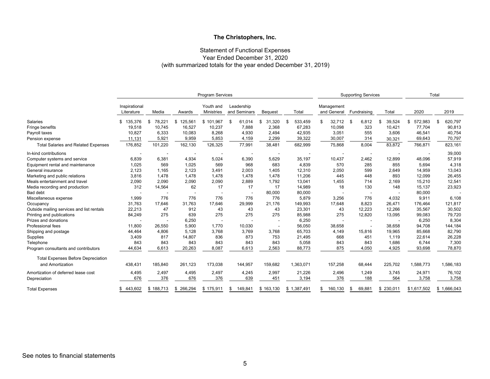#### Statement of Functional Expenses Year Ended December 31, 2020 (with summarized totals for the year ended December 31, 2019)

|                                            |                             |              |              | <b>Program Services</b>        |                            |                          |                 |                           | <b>Supporting Services</b> |              |               | Total         |
|--------------------------------------------|-----------------------------|--------------|--------------|--------------------------------|----------------------------|--------------------------|-----------------|---------------------------|----------------------------|--------------|---------------|---------------|
|                                            | Inspirational<br>Literature | Media        | Awards       | Youth and<br><b>Ministries</b> | Leadership<br>and Seminars | <b>Bequest</b>           | Total           | Management<br>and General | Fundraising                | Total        | 2020          | 2019          |
| <b>Salaries</b>                            | 135,376<br>\$               | 78,221<br>\$ | 125,561<br>S | \$101,967                      | 61,014<br>\$               | 31,320<br>S              | 533,459<br>- \$ | 32,712<br>\$              | 6,812<br>-\$               | 39.524<br>-S | 572,983<br>\$ | 620,797<br>\$ |
| Fringe benefits                            | 19,518                      | 10,745       | 16,527       | 10,237                         | 7,888                      | 2,368                    | 67,283          | 10,098                    | 323                        | 10,421       | 77,704        | 90,813        |
| Payroll taxes                              | 10,827                      | 6,333        | 10,083       | 8,268                          | 4,930                      | 2,494                    | 42,935          | 3,051                     | 555                        | 3,606        | 46,541        | 40,754        |
| Pension expense                            | 11,131                      | 5,921        | 9,959        | 5,853                          | 4,159                      | 2,299                    | 39,322          | 30,007                    | 314                        | 30,321       | 69,643        | 70,797        |
| <b>Total Salaries and Related Expenses</b> | 176,852                     | 101,220      | 162,130      | 126,325                        | 77,991                     | 38,481                   | 682,999         | 75,868                    | 8,004                      | 83,872       | 766,871       | 823,161       |
| In-kind contributions                      | $\overline{\phantom{a}}$    |              |              |                                |                            |                          |                 |                           |                            |              |               | 39,000        |
| Computer systems and service               | 6,839                       | 6,381        | 4,934        | 5,024                          | 6,390                      | 5,629                    | 35,197          | 10,437                    | 2,462                      | 12,899       | 48,096        | 57,919        |
| Equipment rental and maintenance           | 1,025                       | 569          | 1,025        | 569                            | 968                        | 683                      | 4,839           | 570                       | 285                        | 855          | 5,694         | 4,318         |
| General insurance                          | 2,123                       | 1,165        | 2,123        | 3,491                          | 2,003                      | 1,405                    | 12,310          | 2,050                     | 599                        | 2,649        | 14,959        | 13,043        |
| Marketing and public relations             | 3,816                       | 1,478        | 1,478        | 1,478                          | 1,478                      | 1,478                    | 11,206          | 445                       | 448                        | 893          | 12,099        | 26,455        |
| Meals entertainment and travel             | 2,090                       | 2,090        | 2,090        | 2,090                          | 2,889                      | 1,792                    | 13,041          | 1,455                     | 714                        | 2,169        | 15,210        | 12,541        |
| Media recording and production             | 312                         | 14,564       | 62           | 17                             | 17                         | 17                       | 14,989          | 18                        | 130                        | 148          | 15,137        | 23,923        |
| <b>Bad debt</b>                            |                             |              |              |                                |                            | 80,000                   | 80,000          |                           | $\overline{\phantom{a}}$   |              | 80,000        |               |
| Miscellaneous expense                      | 1,999                       | 776          | 776          | 776                            | 776                        | 776                      | 5,879           | 3,256                     | 776                        | 4,032        | 9,911         | 6,108         |
| Occupancy                                  | 31,763                      | 17,646       | 31,763       | 17,646                         | 29,999                     | 21,176                   | 149,993         | 17,648                    | 8,823                      | 26,471       | 176,464       | 121,817       |
| Outside mailing services and list rentals  | 22,213                      | 47           | 912          | 43                             | 43                         | 43                       | 23,301          | 43                        | 12,223                     | 12,266       | 35,567        | 30,502        |
| Printing and publications                  | 84,249                      | 275          | 639          | 275                            | 275                        | 275                      | 85,988          | 275                       | 12,820                     | 13,095       | 99,083        | 79,720        |
| Prizes and donations                       |                             |              | 6,250        |                                |                            | $\overline{\phantom{a}}$ | 6,250           |                           |                            |              | 6,250         | 8,304         |
| Professional fees                          | 11,800                      | 26,550       | 5,900        | 1,770                          | 10,030                     |                          | 56,050          | 38,658                    |                            | 38,658       | 94.708        | 144,184       |
| Shipping and postage                       | 44,464                      | 4,806        | 5,128        | 3,768                          | 3,769                      | 3,768                    | 65,703          | 4,149                     | 15,816                     | 19,965       | 85,668        | 82,790        |
| Supplies                                   | 3,409                       | 817          | 14,807       | 836                            | 873                        | 753                      | 21,495          | 668                       | 451                        | 1,119        | 22,614        | 26,228        |
| Telephone                                  | 843                         | 843          | 843          | 843                            | 843                        | 843                      | 5,058           | 843                       | 843                        | 1,686        | 6,744         | 7,300         |
| Program consultants and contributors       | 44,634                      | 6,613        | 20,263       | 8,087                          | 6,613                      | 2,563                    | 88,773          | 875                       | 4,050                      | 4,925        | 93,698        | 78,870        |
| <b>Total Expenses Before Depreciation</b>  |                             |              |              |                                |                            |                          |                 |                           |                            |              |               |               |
| and Amortization                           | 438.431                     | 185,840      | 261,123      | 173,038                        | 144,957                    | 159,682                  | 1,363,071       | 157,258                   | 68,444                     | 225,702      | 1,588,773     | 1,586,183     |
| Amortization of deferred lease cost        | 4,495                       | 2,497        | 4,495        | 2,497                          | 4,245                      | 2,997                    | 21,226          | 2,496                     | 1,249                      | 3,745        | 24,971        | 76,102        |
| Depreciation                               | 676                         | 376          | 676          | 376                            | 639                        | 451                      | 3,194           | 376                       | 188                        | 564          | 3,758         | 3,758         |
| <b>Total Expenses</b>                      | 443,602<br>\$.              | \$188,713    | \$ 266,294   | \$175,911                      | 149,841<br>\$              | \$163,130                | \$1,387,491     | 160,130<br>\$             | 69,881<br>\$               | \$230,011    | \$1,617,502   | \$1,666,043   |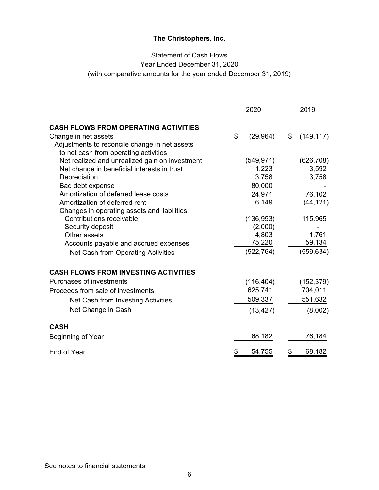# Statement of Cash Flows

Year Ended December 31, 2020

(with comparative amounts for the year ended December 31, 2019)

|                                                | 2020            | 2019             |
|------------------------------------------------|-----------------|------------------|
|                                                |                 |                  |
| <b>CASH FLOWS FROM OPERATING ACTIVITIES</b>    |                 |                  |
| Change in net assets                           | \$<br>(29, 964) | \$<br>(149, 117) |
| Adjustments to reconcile change in net assets  |                 |                  |
| to net cash from operating activities          |                 |                  |
| Net realized and unrealized gain on investment | (549, 971)      | (626, 708)       |
| Net change in beneficial interests in trust    | 1,223           | 3,592            |
| Depreciation                                   | 3,758           | 3,758            |
| Bad debt expense                               | 80,000          |                  |
| Amortization of deferred lease costs           | 24,971          | 76,102           |
| Amortization of deferred rent                  | 6,149           | (44, 121)        |
| Changes in operating assets and liabilities    |                 |                  |
| Contributions receivable                       | (136, 953)      | 115,965          |
| Security deposit                               | (2,000)         |                  |
| Other assets                                   | 4,803           | 1,761            |
| Accounts payable and accrued expenses          | 75,220          | 59,134           |
| Net Cash from Operating Activities             | (522, 764)      | (559, 634)       |
| <b>CASH FLOWS FROM INVESTING ACTIVITIES</b>    |                 |                  |
| Purchases of investments                       | (116, 404)      | (152, 379)       |
| Proceeds from sale of investments              | 625,741         | 704,011          |
| Net Cash from Investing Activities             | 509,337         | 551,632          |
|                                                |                 |                  |
| Net Change in Cash                             | (13, 427)       | (8,002)          |
| <b>CASH</b>                                    |                 |                  |
| Beginning of Year                              | 68,182          | 76,184           |
| End of Year                                    | \$<br>54,755    | \$<br>68,182     |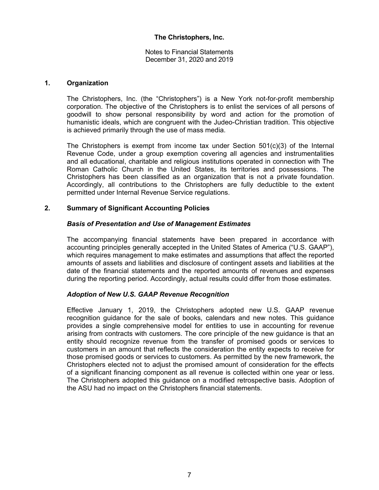Notes to Financial Statements December 31, 2020 and 2019

#### **1. Organization**

The Christophers, Inc. (the "Christophers") is a New York not-for-profit membership corporation. The objective of the Christophers is to enlist the services of all persons of goodwill to show personal responsibility by word and action for the promotion of humanistic ideals, which are congruent with the Judeo-Christian tradition. This objective is achieved primarily through the use of mass media.

The Christophers is exempt from income tax under Section  $501(c)(3)$  of the Internal Revenue Code, under a group exemption covering all agencies and instrumentalities and all educational, charitable and religious institutions operated in connection with The Roman Catholic Church in the United States, its territories and possessions. The Christophers has been classified as an organization that is not a private foundation. Accordingly, all contributions to the Christophers are fully deductible to the extent permitted under Internal Revenue Service regulations.

# **2. Summary of Significant Accounting Policies**

# *Basis of Presentation and Use of Management Estimates*

The accompanying financial statements have been prepared in accordance with accounting principles generally accepted in the United States of America ("U.S. GAAP"), which requires management to make estimates and assumptions that affect the reported amounts of assets and liabilities and disclosure of contingent assets and liabilities at the date of the financial statements and the reported amounts of revenues and expenses during the reporting period. Accordingly, actual results could differ from those estimates.

#### *Adoption of New U.S. GAAP Revenue Recognition*

Effective January 1, 2019, the Christophers adopted new U.S. GAAP revenue recognition guidance for the sale of books, calendars and new notes. This guidance provides a single comprehensive model for entities to use in accounting for revenue arising from contracts with customers. The core principle of the new guidance is that an entity should recognize revenue from the transfer of promised goods or services to customers in an amount that reflects the consideration the entity expects to receive for those promised goods or services to customers. As permitted by the new framework, the Christophers elected not to adjust the promised amount of consideration for the effects of a significant financing component as all revenue is collected within one year or less. The Christophers adopted this guidance on a modified retrospective basis. Adoption of the ASU had no impact on the Christophers financial statements.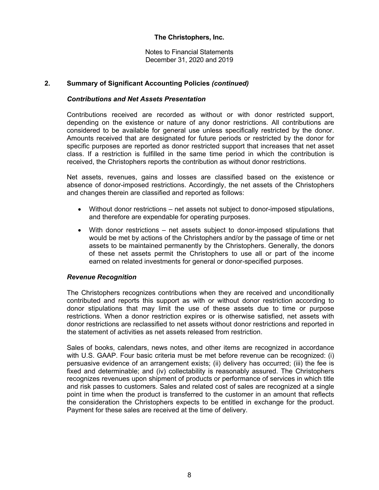Notes to Financial Statements December 31, 2020 and 2019

# **2. Summary of Significant Accounting Policies** *(continued)*

### *Contributions and Net Assets Presentation*

Contributions received are recorded as without or with donor restricted support, depending on the existence or nature of any donor restrictions. All contributions are considered to be available for general use unless specifically restricted by the donor. Amounts received that are designated for future periods or restricted by the donor for specific purposes are reported as donor restricted support that increases that net asset class. If a restriction is fulfilled in the same time period in which the contribution is received, the Christophers reports the contribution as without donor restrictions.

Net assets, revenues, gains and losses are classified based on the existence or absence of donor-imposed restrictions. Accordingly, the net assets of the Christophers and changes therein are classified and reported as follows:

- Without donor restrictions net assets not subject to donor-imposed stipulations, and therefore are expendable for operating purposes.
- With donor restrictions net assets subject to donor-imposed stipulations that would be met by actions of the Christophers and/or by the passage of time or net assets to be maintained permanently by the Christophers. Generally, the donors of these net assets permit the Christophers to use all or part of the income earned on related investments for general or donor-specified purposes.

#### *Revenue Recognition*

The Christophers recognizes contributions when they are received and unconditionally contributed and reports this support as with or without donor restriction according to donor stipulations that may limit the use of these assets due to time or purpose restrictions. When a donor restriction expires or is otherwise satisfied, net assets with donor restrictions are reclassified to net assets without donor restrictions and reported in the statement of activities as net assets released from restriction.

Sales of books, calendars, news notes, and other items are recognized in accordance with U.S. GAAP. Four basic criteria must be met before revenue can be recognized: (i) persuasive evidence of an arrangement exists; (ii) delivery has occurred; (iii) the fee is fixed and determinable; and (iv) collectability is reasonably assured. The Christophers recognizes revenues upon shipment of products or performance of services in which title and risk passes to customers. Sales and related cost of sales are recognized at a single point in time when the product is transferred to the customer in an amount that reflects the consideration the Christophers expects to be entitled in exchange for the product. Payment for these sales are received at the time of delivery.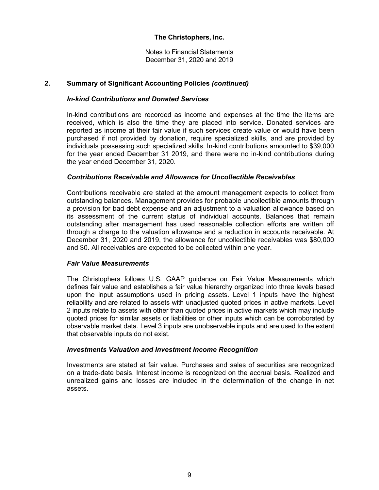Notes to Financial Statements December 31, 2020 and 2019

# **2. Summary of Significant Accounting Policies** *(continued)*

# *In-kind Contributions and Donated Services*

In-kind contributions are recorded as income and expenses at the time the items are received, which is also the time they are placed into service. Donated services are reported as income at their fair value if such services create value or would have been purchased if not provided by donation, require specialized skills, and are provided by individuals possessing such specialized skills. In-kind contributions amounted to \$39,000 for the year ended December 31 2019, and there were no in-kind contributions during the year ended December 31, 2020.

### *Contributions Receivable and Allowance for Uncollectible Receivables*

 Contributions receivable are stated at the amount management expects to collect from outstanding balances. Management provides for probable uncollectible amounts through a provision for bad debt expense and an adjustment to a valuation allowance based on its assessment of the current status of individual accounts. Balances that remain outstanding after management has used reasonable collection efforts are written off through a charge to the valuation allowance and a reduction in accounts receivable. At December 31, 2020 and 2019, the allowance for uncollectible receivables was \$80,000 and \$0. All receivables are expected to be collected within one year.

#### *Fair Value Measurements*

The Christophers follows U.S. GAAP guidance on Fair Value Measurements which defines fair value and establishes a fair value hierarchy organized into three levels based upon the input assumptions used in pricing assets. Level 1 inputs have the highest reliability and are related to assets with unadjusted quoted prices in active markets. Level 2 inputs relate to assets with other than quoted prices in active markets which may include quoted prices for similar assets or liabilities or other inputs which can be corroborated by observable market data. Level 3 inputs are unobservable inputs and are used to the extent that observable inputs do not exist.

#### *Investments Valuation and Investment Income Recognition*

Investments are stated at fair value. Purchases and sales of securities are recognized on a trade-date basis. Interest income is recognized on the accrual basis. Realized and unrealized gains and losses are included in the determination of the change in net assets.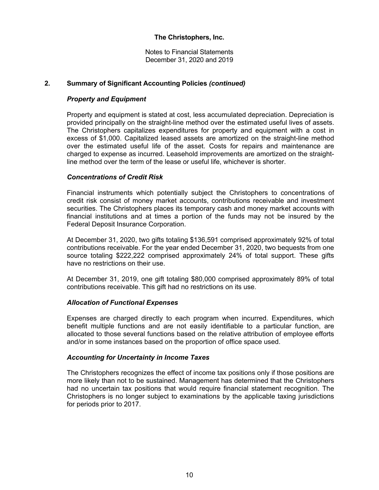Notes to Financial Statements December 31, 2020 and 2019

# **2. Summary of Significant Accounting Policies** *(continued)*

# *Property and Equipment*

Property and equipment is stated at cost, less accumulated depreciation. Depreciation is provided principally on the straight-line method over the estimated useful lives of assets. The Christophers capitalizes expenditures for property and equipment with a cost in excess of \$1,000. Capitalized leased assets are amortized on the straight-line method over the estimated useful life of the asset. Costs for repairs and maintenance are charged to expense as incurred. Leasehold improvements are amortized on the straightline method over the term of the lease or useful life, whichever is shorter.

# *Concentrations of Credit Risk*

Financial instruments which potentially subject the Christophers to concentrations of credit risk consist of money market accounts, contributions receivable and investment securities. The Christophers places its temporary cash and money market accounts with financial institutions and at times a portion of the funds may not be insured by the Federal Deposit Insurance Corporation.

At December 31, 2020, two gifts totaling \$136,591 comprised approximately 92% of total contributions receivable. For the year ended December 31, 2020, two bequests from one source totaling \$222,222 comprised approximately 24% of total support. These gifts have no restrictions on their use.

At December 31, 2019, one gift totaling \$80,000 comprised approximately 89% of total contributions receivable. This gift had no restrictions on its use.

#### *Allocation of Functional Expenses*

Expenses are charged directly to each program when incurred. Expenditures, which benefit multiple functions and are not easily identifiable to a particular function, are allocated to those several functions based on the relative attribution of employee efforts and/or in some instances based on the proportion of office space used.

#### *Accounting for Uncertainty in Income Taxes*

The Christophers recognizes the effect of income tax positions only if those positions are more likely than not to be sustained. Management has determined that the Christophers had no uncertain tax positions that would require financial statement recognition. The Christophers is no longer subject to examinations by the applicable taxing jurisdictions for periods prior to 2017.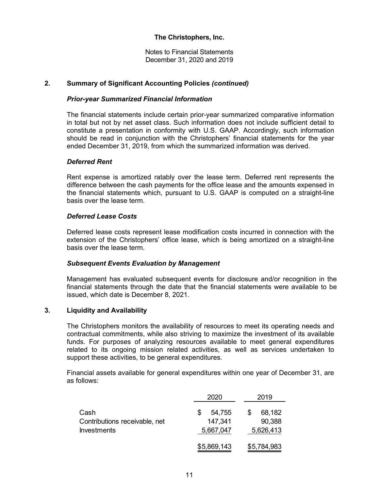Notes to Financial Statements December 31, 2020 and 2019

# **2. Summary of Significant Accounting Policies** *(continued)*

### *Prior-year Summarized Financial Information*

The financial statements include certain prior-year summarized comparative information in total but not by net asset class. Such information does not include sufficient detail to constitute a presentation in conformity with U.S. GAAP. Accordingly, such information should be read in conjunction with the Christophers' financial statements for the year ended December 31, 2019, from which the summarized information was derived.

#### *Deferred Rent*

Rent expense is amortized ratably over the lease term. Deferred rent represents the difference between the cash payments for the office lease and the amounts expensed in the financial statements which, pursuant to U.S. GAAP is computed on a straight-line basis over the lease term.

#### *Deferred Lease Costs*

Deferred lease costs represent lease modification costs incurred in connection with the extension of the Christophers' office lease, which is being amortized on a straight-line basis over the lease term.

#### *Subsequent Events Evaluation by Management*

Management has evaluated subsequent events for disclosure and/or recognition in the financial statements through the date that the financial statements were available to be issued, which date is December 8, 2021.

# **3. Liquidity and Availability**

The Christophers monitors the availability of resources to meet its operating needs and contractual commitments, while also striving to maximize the investment of its available funds. For purposes of analyzing resources available to meet general expenditures related to its ongoing mission related activities, as well as services undertaken to support these activities, to be general expenditures.

Financial assets available for general expenditures within one year of December 31, are as follows:

|                                                             | 2020                           | 2019                          |
|-------------------------------------------------------------|--------------------------------|-------------------------------|
| Cash<br>Contributions receivable, net<br><b>Investments</b> | 54,755<br>147,341<br>5,667,047 | 68,182<br>90,388<br>5,626,413 |
|                                                             | \$5,869,143                    | \$5,784,983                   |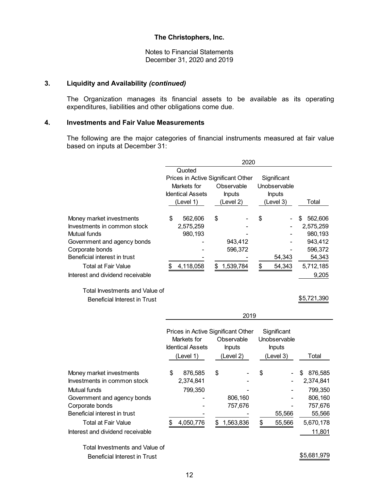Notes to Financial Statements December 31, 2020 and 2019

# **3. Liquidity and Availability** *(continued)*

The Organization manages its financial assets to be available as its operating expenditures, liabilities and other obligations come due.

### **4. Investments and Fair Value Measurements**

The following are the major categories of financial instruments measured at fair value based on inputs at December 31:

|                                  | 2020 |                                    |    |               |    |               |                |
|----------------------------------|------|------------------------------------|----|---------------|----|---------------|----------------|
|                                  |      | Quoted                             |    |               |    |               |                |
|                                  |      | Prices in Active Significant Other |    |               |    | Significant   |                |
|                                  |      | Markets for                        |    | Observable    |    | Unobservable  |                |
|                                  |      | <b>Identical Assets</b>            |    | <b>Inputs</b> |    | <b>Inputs</b> |                |
|                                  |      | (Level 1)                          |    | (Level 2)     |    | (Level 3)     | Total          |
| Money market investments         | S    | 562,606                            | \$ |               | \$ |               | 562,606<br>\$. |
| Investments in common stock      |      | 2,575,259                          |    |               |    |               | 2,575,259      |
| Mutual funds                     |      | 980,193                            |    |               |    |               | 980.193        |
| Government and agency bonds      |      |                                    |    | 943,412       |    |               | 943.412        |
| Corporate bonds                  |      |                                    |    | 596,372       |    |               | 596,372        |
| Beneficial interest in trust     |      |                                    |    |               |    | 54,343        | 54,343         |
| <b>Total at Fair Value</b>       |      | 4,118,058                          | \$ | 1,539,784     | S  | 54,343        | 5,712,185      |
| Interest and dividend receivable |      |                                    |    |               |    |               | 9,205          |

# Total Investments and Value of Beneficial Interest in Trust  $$5,721,390$

|                                  | Prices in Active Significant Other<br>Markets for<br><b>Identical Assets</b> | Observable<br><b>Inputs</b> |    | Significant<br>Unobservable<br><b>Inputs</b> |              |
|----------------------------------|------------------------------------------------------------------------------|-----------------------------|----|----------------------------------------------|--------------|
|                                  | (Level 1)                                                                    | (Level 2)                   |    | (Level 3)                                    | Total        |
| Money market investments         | \$<br>876,585                                                                | \$                          | \$ |                                              | 876,585<br>S |
| Investments in common stock      | 2,374,841                                                                    |                             |    |                                              | 2,374,841    |
| Mutual funds                     | 799,350                                                                      |                             |    |                                              | 799,350      |
| Government and agency bonds      |                                                                              | 806,160                     |    |                                              | 806,160      |
| Corporate bonds                  |                                                                              | 757,676                     |    |                                              | 757,676      |
| Beneficial interest in trust     |                                                                              |                             |    | 55,566                                       | 55,566       |
| <b>Total at Fair Value</b>       | 4,050,776                                                                    | 1,563,836                   | S  | 55,566                                       | 5,670,178    |
| Interest and dividend receivable |                                                                              |                             |    |                                              | 11,801       |

2019

Total Investments and Value of Beneficial Interest in Trust \$5,681,979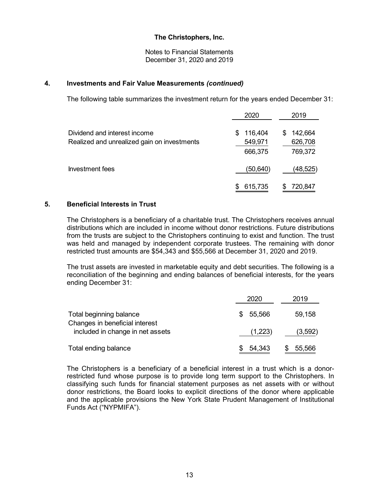Notes to Financial Statements December 31, 2020 and 2019

#### **4. Investments and Fair Value Measurements** *(continued)*

The following table summarizes the investment return for the years ended December 31:

|                                                                             | 2020                               | 2019                               |
|-----------------------------------------------------------------------------|------------------------------------|------------------------------------|
| Dividend and interest income<br>Realized and unrealized gain on investments | 116,404<br>S<br>549,971<br>666,375 | 142,664<br>S<br>626,708<br>769,372 |
| Investment fees                                                             | (50,640)                           | (48,525)                           |
|                                                                             | 615,735                            | 720,847                            |

# **5. Beneficial Interests in Trust**

The Christophers is a beneficiary of a charitable trust. The Christophers receives annual distributions which are included in income without donor restrictions. Future distributions from the trusts are subject to the Christophers continuing to exist and function. The trust was held and managed by independent corporate trustees. The remaining with donor restricted trust amounts are \$54,343 and \$55,566 at December 31, 2020 and 2019.

The trust assets are invested in marketable equity and debt securities. The following is a reconciliation of the beginning and ending balances of beneficial interests, for the years ending December 31:

|                                                           | 2020     | 2019    |
|-----------------------------------------------------------|----------|---------|
| Total beginning balance<br>Changes in beneficial interest | \$55,566 | 59,158  |
| included in change in net assets                          | (1,223)  | (3,592) |
| Total ending balance                                      | 54,343   | 55,566  |

The Christophers is a beneficiary of a beneficial interest in a trust which is a donorrestricted fund whose purpose is to provide long term support to the Christophers. In classifying such funds for financial statement purposes as net assets with or without donor restrictions, the Board looks to explicit directions of the donor where applicable and the applicable provisions the New York State Prudent Management of Institutional Funds Act ("NYPMIFA").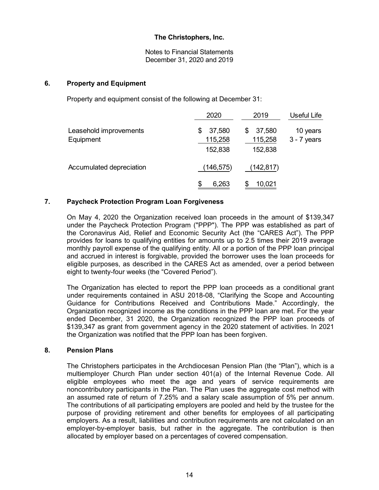Notes to Financial Statements December 31, 2020 and 2019

### **6. Property and Equipment**

Property and equipment consist of the following at December 31:

|                                     | 2020                               | 2019                              | Useful Life               |
|-------------------------------------|------------------------------------|-----------------------------------|---------------------------|
| Leasehold improvements<br>Equipment | 37,580<br>\$<br>115,258<br>152,838 | 37,580<br>S<br>115,258<br>152,838 | 10 years<br>$3 - 7$ years |
| Accumulated depreciation            | (146,575)                          | (142,817)                         |                           |
|                                     | 6,263<br>S                         | 10,021                            |                           |

# **7. Paycheck Protection Program Loan Forgiveness**

On May 4, 2020 the Organization received loan proceeds in the amount of \$139,347 under the Paycheck Protection Program ("PPP"). The PPP was established as part of the Coronavirus Aid, Relief and Economic Security Act (the "CARES Act"). The PPP provides for loans to qualifying entities for amounts up to 2.5 times their 2019 average monthly payroll expense of the qualifying entity. All or a portion of the PPP loan principal and accrued in interest is forgivable, provided the borrower uses the loan proceeds for eligible purposes, as described in the CARES Act as amended, over a period between eight to twenty-four weeks (the "Covered Period").

The Organization has elected to report the PPP loan proceeds as a conditional grant under requirements contained in ASU 2018-08, "Clarifying the Scope and Accounting Guidance for Contributions Received and Contributions Made." Accordingly, the Organization recognized income as the conditions in the PPP loan are met. For the year ended December, 31 2020, the Organization recognized the PPP loan proceeds of \$139,347 as grant from government agency in the 2020 statement of activities. In 2021 the Organization was notified that the PPP loan has been forgiven.

#### **8. Pension Plans**

The Christophers participates in the Archdiocesan Pension Plan (the "Plan"), which is a multiemployer Church Plan under section 401(a) of the Internal Revenue Code. All eligible employees who meet the age and years of service requirements are noncontributory participants in the Plan. The Plan uses the aggregate cost method with an assumed rate of return of 7.25% and a salary scale assumption of 5% per annum. The contributions of all participating employers are pooled and held by the trustee for the purpose of providing retirement and other benefits for employees of all participating employers. As a result, liabilities and contribution requirements are not calculated on an employer-by-employer basis, but rather in the aggregate. The contribution is then allocated by employer based on a percentages of covered compensation.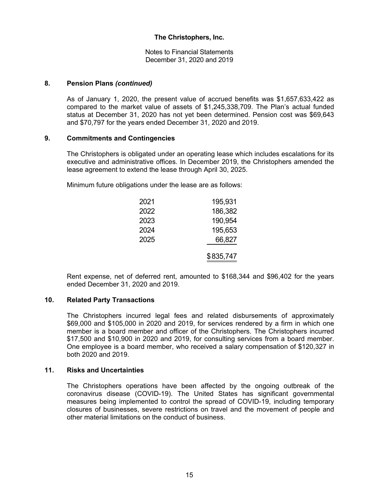Notes to Financial Statements December 31, 2020 and 2019

#### **8. Pension Plans** *(continued)*

As of January 1, 2020, the present value of accrued benefits was \$1,657,633,422 as compared to the market value of assets of \$1,245,338,709. The Plan's actual funded status at December 31, 2020 has not yet been determined. Pension cost was \$69,643 and \$70,797 for the years ended December 31, 2020 and 2019.

#### **9. Commitments and Contingencies**

The Christophers is obligated under an operating lease which includes escalations for its executive and administrative offices. In December 2019, the Christophers amended the lease agreement to extend the lease through April 30, 2025.

Minimum future obligations under the lease are as follows:

| 2021 | 195,931   |
|------|-----------|
| 2022 | 186,382   |
| 2023 | 190,954   |
| 2024 | 195,653   |
| 2025 | 66,827    |
|      | \$835,747 |

Rent expense, net of deferred rent, amounted to \$168,344 and \$96,402 for the years ended December 31, 2020 and 2019.

### **10. Related Party Transactions**

The Christophers incurred legal fees and related disbursements of approximately \$69,000 and \$105,000 in 2020 and 2019, for services rendered by a firm in which one member is a board member and officer of the Christophers. The Christophers incurred \$17,500 and \$10,900 in 2020 and 2019, for consulting services from a board member. One employee is a board member, who received a salary compensation of \$120,327 in both 2020 and 2019.

#### **11. Risks and Uncertainties**

The Christophers operations have been affected by the ongoing outbreak of the coronavirus disease (COVID-19). The United States has significant governmental measures being implemented to control the spread of COVID-19, including temporary closures of businesses, severe restrictions on travel and the movement of people and other material limitations on the conduct of business.